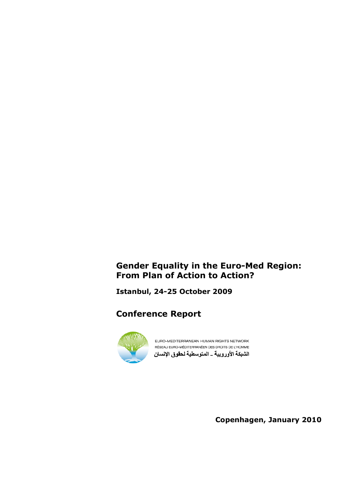# Gender Equality in the Euro-Med Region: From Plan of Action to Action?

Istanbul, 24-25 October 2009

# Conference Report



EURO-MEDITERRANEAN HUMAN RIGHTS NETWORK RÉSEAU EURO-MÉDITERRANÉEN DES DROITS DE L'HOMME الشبكة الأوروبية \_ المتوسطية لحقوق الإنسان

Copenhagen, January 2010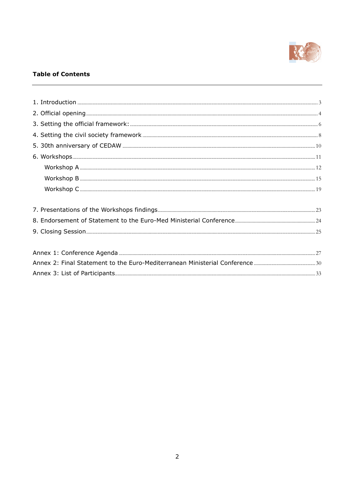

# **Table of Contents**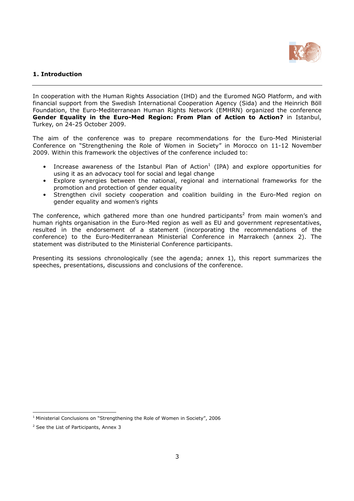

# 1. Introduction

In cooperation with the Human Rights Association (IHD) and the Euromed NGO Platform, and with financial support from the Swedish International Cooperation Agency (Sida) and the Heinrich Böll Foundation, the Euro-Mediterranean Human Rights Network (EMHRN) organized the conference Gender Equality in the Euro-Med Region: From Plan of Action to Action? in Istanbul, Turkey, on 24-25 October 2009.

The aim of the conference was to prepare recommendations for the Euro-Med Ministerial Conference on "Strengthening the Role of Women in Society" in Morocco on 11-12 November 2009. Within this framework the objectives of the conference included to:

- Increase awareness of the Istanbul Plan of Action<sup>1</sup> (IPA) and explore opportunities for using it as an advocacy tool for social and legal change
- Explore synergies between the national, regional and international frameworks for the promotion and protection of gender equality
- Strengthen civil society cooperation and coalition building in the Euro-Med region on gender equality and women's rights

The conference, which gathered more than one hundred participants<sup>2</sup> from main women's and human rights organisation in the Euro-Med region as well as EU and government representatives, resulted in the endorsement of a statement (incorporating the recommendations of the conference) to the Euro-Mediterranean Ministerial Conference in Marrakech (annex 2). The statement was distributed to the Ministerial Conference participants.

Presenting its sessions chronologically (see the agenda; annex 1), this report summarizes the speeches, presentations, discussions and conclusions of the conference.

 $\overline{a}$ 

 $<sup>1</sup>$  Ministerial Conclusions on "Strengthening the Role of Women in Society", 2006</sup>

<sup>&</sup>lt;sup>2</sup> See the List of Participants, Annex 3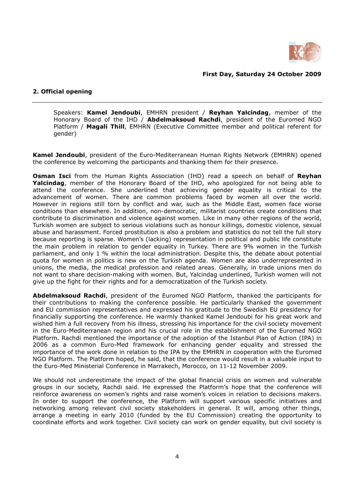

### First Day, Saturday 24 October 2009

## 2. Official opening

Speakers: Kamel Jendoubi, EMHRN president / Reyhan Yalcindag, member of the Honorary Board of the IHD / Abdelmaksoud Rachdi, president of the Euromed NGO Platform / Magali Thill, EMHRN (Executive Committee member and political referent for gender)

Kamel Jendoubi, president of the Euro-Mediterranean Human Rights Network (EMHRN) opened the conference by welcoming the participants and thanking them for their presence.

Osman Isci from the Human Rights Association (IHD) read a speech on behalf of Reyhan Yalcindag, member of the Honorary Board of the IHD, who apologized for not being able to attend the conference. She underlined that achieving gender equality is critical to the advancement of women. There are common problems faced by women all over the world. However in regions still torn by conflict and war, such as the Middle East, women face worse conditions than elsewhere. In addition, non-democratic, militarist countries create conditions that contribute to discrimination and violence against women. Like in many other regions of the world, Turkish women are subject to serious violations such as honour killings, domestic violence, sexual abuse and harassment. Forced prostitution is also a problem and statistics do not tell the full story because reporting is sparse. Women's (lacking) representation in political and public life constitute the main problem in relation to gender equality in Turkey. There are 9% women in the Turkish parliament, and only 1 % within the local administration. Despite this, the debate about potential quota for women in politics is new on the Turkish agenda. Women are also underrepresented in unions, the media, the medical profession and related areas. Generally, in trade unions men do not want to share decision-making with women. But, Yalcindag underlined, Turkish women will not give up the fight for their rights and for a democratization of the Turkish society.

Abdelmaksoud Rachdi, president of the Euromed NGO Platform, thanked the participants for their contributions to making the conference possible. He particularly thanked the government and EU commission representatives and expressed his gratitude to the Swedish EU presidency for financially supporting the conference. He warmly thanked Kamel Jendoubi for his great work and wished him a full recovery from his illness, stressing his importance for the civil society movement in the Euro-Mediterranean region and his crucial role in the establishment of the Euromed NGO Platform. Rachdi mentioned the importance of the adoption of the Istanbul Plan of Action (IPA) in 2006 as a common Euro-Med framework for enhancing gender equality and stressed the importance of the work done in relation to the IPA by the EMHRN in cooperation with the Euromed NGO Platform. The Platform hoped, he said, that the conference would result in a valuable input to the Euro-Med Ministerial Conference in Marrakech, Morocco, on 11-12 November 2009.

We should not underestimate the impact of the global financial crisis on women and vulnerable groups in our society, Rachdi said. He expressed the Platform's hope that the conference will reinforce awareness on women's rights and raise women's voices in relation to decisions makers. In order to support the conference, the Platform will support various specific initiatives and networking among relevant civil society stakeholders in general. It will, among other things, arrange a meeting in early 2010 (funded by the EU Commission) creating the opportunity to coordinate efforts and work together. Civil society can work on gender equality, but civil society is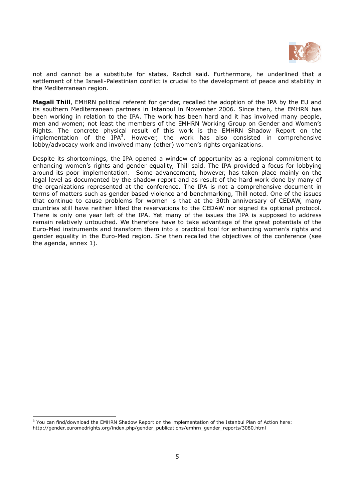

not and cannot be a substitute for states, Rachdi said. Furthermore, he underlined that a settlement of the Israeli-Palestinian conflict is crucial to the development of peace and stability in the Mediterranean region.

Magali Thill, EMHRN political referent for gender, recalled the adoption of the IPA by the EU and its southern Mediterranean partners in Istanbul in November 2006. Since then, the EMHRN has been working in relation to the IPA. The work has been hard and it has involved many people, men and women; not least the members of the EMHRN Working Group on Gender and Women's Rights. The concrete physical result of this work is the EMHRN Shadow Report on the implementation of the  $IPA^3$ . However, the work has also consisted in comprehensive lobby/advocacy work and involved many (other) women's rights organizations.

Despite its shortcomings, the IPA opened a window of opportunity as a regional commitment to enhancing women's rights and gender equality, Thill said. The IPA provided a focus for lobbying around its poor implementation. Some advancement, however, has taken place mainly on the legal level as documented by the shadow report and as result of the hard work done by many of the organizations represented at the conference. The IPA is not a comprehensive document in terms of matters such as gender based violence and benchmarking, Thill noted. One of the issues that continue to cause problems for women is that at the 30th anniversary of CEDAW, many countries still have neither lifted the reservations to the CEDAW nor signed its optional protocol. There is only one year left of the IPA. Yet many of the issues the IPA is supposed to address remain relatively untouched. We therefore have to take advantage of the great potentials of the Euro-Med instruments and transform them into a practical tool for enhancing women's rights and gender equality in the Euro-Med region. She then recalled the objectives of the conference (see the agenda, annex 1).

-

<sup>&</sup>lt;sup>3</sup> You can find/download the EMHRN Shadow Report on the implementation of the Istanbul Plan of Action here: http://gender.euromedrights.org/index.php/gender\_publications/emhrn\_gender\_reports/3080.html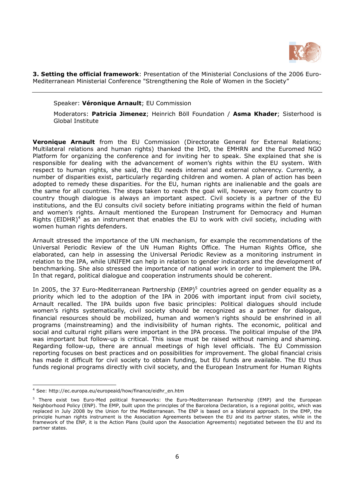

3. Setting the official framework: Presentation of the Ministerial Conclusions of the 2006 Euro-Mediterranean Ministerial Conference "Strengthening the Role of Women in the Society"

Speaker: Véronique Arnault; EU Commission

Moderators: Patricia Jimenez; Heinrich Böll Foundation / Asma Khader; Sisterhood is Global Institute

**Veronique Arnault** from the EU Commission (Directorate General for External Relations; Multilateral relations and human rights) thanked the IHD, the EMHRN and the Euromed NGO Platform for organizing the conference and for inviting her to speak. She explained that she is responsible for dealing with the advancement of women's rights within the EU system. With respect to human rights, she said, the EU needs internal and external coherency. Currently, a number of disparities exist, particularly regarding children and women. A plan of action has been adopted to remedy these disparities. For the EU, human rights are inalienable and the goals are the same for all countries. The steps taken to reach the goal will, however, vary from country to country though dialogue is always an important aspect. Civil society is a partner of the EU institutions, and the EU consults civil society before initiating programs within the field of human and women's rights. Arnault mentioned the European Instrument for Democracy and Human Rights (EIDHR)<sup>4</sup> as an instrument that enables the EU to work with civil society, including with women human rights defenders.

Arnault stressed the importance of the UN mechanism, for example the recommendations of the Universal Periodic Review of the UN Human Rights Office. The Human Rights Office, she elaborated, can help in assessing the Universal Periodic Review as a monitoring instrument in relation to the IPA, while UNIFEM can help in relation to gender indicators and the development of benchmarking. She also stressed the importance of national work in order to implement the IPA. In that regard, political dialogue and cooperation instruments should be coherent.

In 2005, the 37 Euro-Mediterranean Partnership (EMP)<sup>5</sup> countries agreed on gender equality as a priority which led to the adoption of the IPA in 2006 with important input from civil society, Arnault recalled. The IPA builds upon five basic principles: Political dialogues should include women's rights systematically, civil society should be recognized as a partner for dialogue, financial resources should be mobilized, human and women's rights should be enshrined in all programs (mainstreaming) and the indivisibility of human rights. The economic, political and social and cultural right pillars were important in the IPA process. The political impulse of the IPA was important but follow-up is critical. This issue must be raised without naming and shaming. Regarding follow-up, there are annual meetings of high level officials. The EU Commission reporting focuses on best practices and on possibilities for improvement. The global financial crisis has made it difficult for civil society to obtain funding, but EU funds are available. The EU thus funds regional programs directly with civil society, and the European Instrument for Human Rights

 $\overline{a}$ 

<sup>4</sup> See: http://ec.europa.eu/europeaid/how/finance/eidhr\_en.htm

<sup>&</sup>lt;sup>5</sup> There exist two Euro-Med political frameworks: the Euro-Mediterranean Partnership (EMP) and the European Neighborhood Policy (ENP). The EMP, built upon the principles of the Barcelona Declaration, is a regional politic, which was replaced in July 2008 by the Union for the Mediterranean. The ENP is based on a bilateral approach. In the EMP, the principle human rights instrument is the Association Agreements between the EU and its partner states, while in the framework of the ENP, it is the Action Plans (build upon the Association Agreements) negotiated between the EU and its partner states.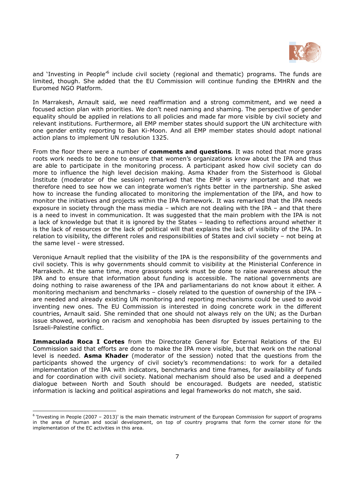

and 'Investing in People<sup>76</sup> include civil society (regional and thematic) programs. The funds are limited, though. She added that the EU Commission will continue funding the EMHRN and the Euromed NGO Platform.

In Marrakesh, Arnault said, we need reaffirmation and a strong commitment, and we need a focused action plan with priorities. We don't need naming and shaming. The perspective of gender equality should be applied in relations to all policies and made far more visible by civil society and relevant institutions. Furthermore, all EMP member states should support the UN architecture with one gender entity reporting to Ban Ki-Moon. And all EMP member states should adopt national action plans to implement UN resolution 1325.

From the floor there were a number of **comments and questions**. It was noted that more grass roots work needs to be done to ensure that women's organizations know about the IPA and thus are able to participate in the monitoring process. A participant asked how civil society can do more to influence the high level decision making. Asma Khader from the Sisterhood is Global Institute (moderator of the session) remarked that the EMP is very important and that we therefore need to see how we can integrate women's rights better in the partnership. She asked how to increase the funding allocated to monitoring the implementation of the IPA, and how to monitor the initiatives and projects within the IPA framework. It was remarked that the IPA needs exposure in society through the mass media – which are not dealing with the IPA – and that there is a need to invest in communication. It was suggested that the main problem with the IPA is not a lack of knowledge but that it is ignored by the States – leading to reflections around whether it is the lack of resources or the lack of political will that explains the lack of visibility of the IPA. In relation to visibility, the different roles and responsibilities of States and civil society – not being at the same level - were stressed.

Veronique Arnault replied that the visibility of the IPA is the responsibility of the governments and civil society. This is why governments should commit to visibility at the Ministerial Conference in Marrakech. At the same time, more grassroots work must be done to raise awareness about the IPA and to ensure that information about funding is accessible. The national governments are doing nothing to raise awareness of the IPA and parliamentarians do not know about it either. A monitoring mechanism and benchmarks – closely related to the question of ownership of the IPA – are needed and already existing UN monitoring and reporting mechanisms could be used to avoid inventing new ones. The EU Commission is interested in doing concrete work in the different countries, Arnault said. She reminded that one should not always rely on the UN; as the Durban issue showed, working on racism and xenophobia has been disrupted by issues pertaining to the Israeli-Palestine conflict.

Immaculada Roca I Cortes from the Directorate General for External Relations of the EU Commission said that efforts are done to make the IPA more visible, but that work on the national level is needed. **Asma Khader** (moderator of the session) noted that the questions from the participants showed the urgency of civil society's recommendations: to work for a detailed implementation of the IPA with indicators, benchmarks and time frames, for availability of funds and for coordination with civil society. National mechanism should also be used and a deepened dialogue between North and South should be encouraged. Budgets are needed, statistic information is lacking and political aspirations and legal frameworks do not match, she said.

 $\overline{a}$ 

<sup>&</sup>lt;sup>6</sup> 'Investing in People (2007 - 2013)' is the main thematic instrument of the European Commission for support of programs in the area of human and social development, on top of country programs that form the corner stone for the implementation of the EC activities in this area.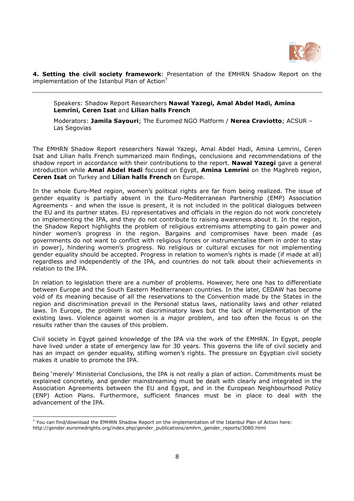

4. Setting the civil society framework: Presentation of the EMHRN Shadow Report on the implementation of the Istanbul Plan of Action $7$ 

Speakers: Shadow Report Researchers Nawal Yazegi, Amal Abdel Hadi, Amina Lemrini, Ceren Isat and Lilian halls French

Moderators: Jamila Sayouri; The Euromed NGO Platform / Nerea Craviotto; ACSUR -Las Segovias

The EMHRN Shadow Report researchers Nawal Yazegi, Amal Abdel Hadi, Amina Lemrini, Ceren Isat and Lilian halls French summarized main findings, conclusions and recommendations of the shadow report in accordance with their contributions to the report. **Nawal Yazegi** gave a general introduction while **Amal Abdel Hadi** focused on Egypt, **Amina Lemrini** on the Maghreb region, Ceren Isat on Turkey and Lilian halls French on Europe.

In the whole Euro-Med region, women's political rights are far from being realized. The issue of gender equality is partially absent in the Euro-Mediterranean Partnership (EMP) Association Agreements - and when the issue is present, it is not included in the political dialogues between the EU and its partner states. EU representatives and officials in the region do not work concretely on implementing the IPA, and they do not contribute to raising awareness about it. In the region, the Shadow Report highlights the problem of religious extremisms attempting to gain power and hinder women's progress in the region. Bargains and compromises have been made (as governments do not want to conflict with religious forces or instrumentalise them in order to stay in power), hindering women's progress. No religious or cultural excuses for not implementing gender equality should be accepted. Progress in relation to women's rights is made (if made at all) regardless and independently of the IPA, and countries do not talk about their achievements in relation to the IPA.

In relation to legislation there are a number of problems. However, here one has to differentiate between Europe and the South Eastern Mediterranean countries. In the later, CEDAW has become void of its meaning because of all the reservations to the Convention made by the States in the region and discrimination prevail in the Personal status laws, nationality laws and other related laws. In Europe, the problem is not discriminatory laws but the lack of implementation of the existing laws. Violence against women is a major problem, and too often the focus is on the results rather than the causes of this problem.

Civil society in Egypt gained knowledge of the IPA via the work of the EMHRN. In Egypt, people have lived under a state of emergency law for 30 years. This governs the life of civil society and has an impact on gender equality, stifling women's rights. The pressure on Egyptian civil society makes it unable to promote the IPA.

Being 'merely' Ministerial Conclusions, the IPA is not really a plan of action. Commitments must be explained concretely, and gender mainstreaming must be dealt with clearly and integrated in the Association Agreements between the EU and Egypt, and in the European Neighbourhood Policy (ENP) Action Plans. Furthermore, sufficient finances must be in place to deal with the advancement of the IPA.

-

 $<sup>7</sup>$  You can find/download the EMHRN Shadow Report on the implementation of the Istanbul Plan of Action here:</sup> http://gender.euromedrights.org/index.php/gender\_publications/emhrn\_gender\_reports/3080.html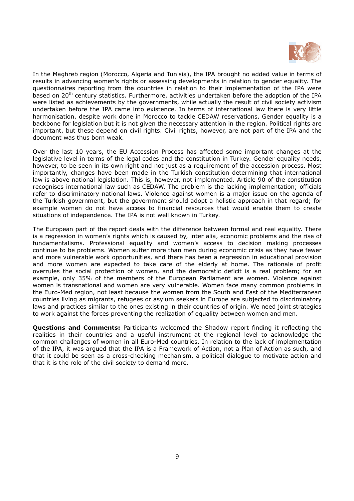

In the Maghreb region (Morocco, Algeria and Tunisia), the IPA brought no added value in terms of results in advancing women's rights or assessing developments in relation to gender equality. The questionnaires reporting from the countries in relation to their implementation of the IPA were based on 20<sup>th</sup> century statistics. Furthermore, activities undertaken before the adoption of the IPA were listed as achievements by the governments, while actually the result of civil society activism undertaken before the IPA came into existence. In terms of international law there is very little harmonisation, despite work done in Morocco to tackle CEDAW reservations. Gender equality is a backbone for legislation but it is not given the necessary attention in the region. Political rights are important, but these depend on civil rights. Civil rights, however, are not part of the IPA and the document was thus born weak.

Over the last 10 years, the EU Accession Process has affected some important changes at the legislative level in terms of the legal codes and the constitution in Turkey. Gender equality needs, however, to be seen in its own right and not just as a requirement of the accession process. Most importantly, changes have been made in the Turkish constitution determining that international law is above national legislation. This is, however, not implemented. Article 90 of the constitution recognises international law such as CEDAW. The problem is the lacking implementation; officials refer to discriminatory national laws. Violence against women is a major issue on the agenda of the Turkish government, but the government should adopt a holistic approach in that regard; for example women do not have access to financial resources that would enable them to create situations of independence. The IPA is not well known in Turkey.

The European part of the report deals with the difference between formal and real equality. There is a regression in women's rights which is caused by, inter alia, economic problems and the rise of fundamentalisms. Professional equality and women's access to decision making processes continue to be problems. Women suffer more than men during economic crisis as they have fewer and more vulnerable work opportunities, and there has been a regression in educational provision and more women are expected to take care of the elderly at home. The rationale of profit overrules the social protection of women, and the democratic deficit is a real problem; for an example, only 35% of the members of the European Parliament are women. Violence against women is transnational and women are very vulnerable. Women face many common problems in the Euro-Med region, not least because the women from the South and East of the Mediterranean countries living as migrants, refugees or asylum seekers in Europe are subjected to discriminatory laws and practices similar to the ones existing in their countries of origin. We need joint strategies to work against the forces preventing the realization of equality between women and men.

**Questions and Comments:** Participants welcomed the Shadow report finding it reflecting the realities in their countries and a useful instrument at the regional level to acknowledge the common challenges of women in all Euro-Med countries. In relation to the lack of implementation of the IPA, it was argued that the IPA is a Framework of Action, not a Plan of Action as such, and that it could be seen as a cross-checking mechanism, a political dialogue to motivate action and that it is the role of the civil society to demand more.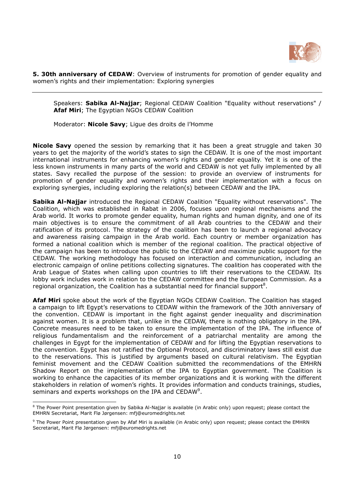

5. 30th anniversary of CEDAW: Overview of instruments for promotion of gender equality and women's rights and their implementation: Exploring synergies

Speakers: Sabika Al-Najjar; Regional CEDAW Coalition "Equality without reservations" / Afaf Miri; The Egyptian NGOs CEDAW Coalition

Moderator: Nicole Savy; Ligue des droits de l'Homme

Nicole Savy opened the session by remarking that it has been a great struggle and taken 30 years to get the majority of the world's states to sign the CEDAW. It is one of the most important international instruments for enhancing women's rights and gender equality. Yet it is one of the less known instruments in many parts of the world and CEDAW is not yet fully implemented by all states. Savy recalled the purpose of the session: to provide an overview of instruments for promotion of gender equality and women's rights and their implementation with a focus on exploring synergies, including exploring the relation(s) between CEDAW and the IPA.

Sabika Al-Najjar introduced the Regional CEDAW Coalition "Equality without reservations". The Coalition, which was established in Rabat in 2006, focuses upon regional mechanisms and the Arab world. It works to promote gender equality, human rights and human dignity, and one of its main objectives is to ensure the commitment of all Arab countries to the CEDAW and their ratification of its protocol. The strategy of the coalition has been to launch a regional advocacy and awareness raising campaign in the Arab world. Each country or member organization has formed a national coalition which is member of the regional coalition. The practical objective of the campaign has been to introduce the public to the CEDAW and maximize public support for the CEDAW. The working methodology has focused on interaction and communication, including an electronic campaign of online petitions collecting signatures. The coalition has cooperated with the Arab League of States when calling upon countries to lift their reservations to the CEDAW. Its lobby work includes work in relation to the CEDAW committee and the European Commission. As a regional organization, the Coalition has a substantial need for financial support<sup>8</sup>.

**Afaf Miri** spoke about the work of the Egyptian NGOs CEDAW Coalition. The Coalition has staged a campaign to lift Egypt's reservations to CEDAW within the framework of the 30th anniversary of the convention. CEDAW is important in the fight against gender inequality and discrimination against women. It is a problem that, unlike in the CEDAW, there is nothing obligatory in the IPA. Concrete measures need to be taken to ensure the implementation of the IPA. The influence of religious fundamentalism and the reinforcement of a patriarchal mentality are among the challenges in Egypt for the implementation of CEDAW and for lifting the Egyptian reservations to the convention. Egypt has not ratified the Optional Protocol, and discriminatory laws still exist due to the reservations. This is justified by arguments based on cultural relativism. The Egyptian feminist movement and the CEDAW Coalition submitted the recommendations of the EMHRN Shadow Report on the implementation of the IPA to Egyptian government. The Coalition is working to enhance the capacities of its member organizations and it is working with the different stakeholders in relation of women's rights. It provides information and conducts trainings, studies, seminars and experts workshops on the IPA and  $\text{CEDAW}^9$ .

L

<sup>&</sup>lt;sup>8</sup> The Power Point presentation given by Sabika Al-Najjar is available (in Arabic only) upon request; please contact the EMHRN Secretariat, Marit Flø Jørgensen: mfj@euromedrights.net

<sup>&</sup>lt;sup>9</sup> The Power Point presentation given by Afaf Miri is available (in Arabic only) upon request; please contact the EMHRN Secretariat, Marit Flø Jørgensen: mfj@euromedrights.net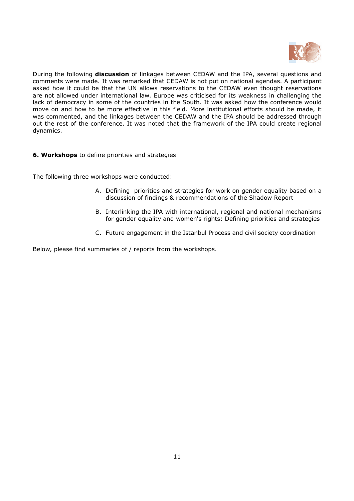

During the following discussion of linkages between CEDAW and the IPA, several questions and comments were made. It was remarked that CEDAW is not put on national agendas. A participant asked how it could be that the UN allows reservations to the CEDAW even thought reservations are not allowed under international law. Europe was criticised for its weakness in challenging the lack of democracy in some of the countries in the South. It was asked how the conference would move on and how to be more effective in this field. More institutional efforts should be made, it was commented, and the linkages between the CEDAW and the IPA should be addressed through out the rest of the conference. It was noted that the framework of the IPA could create regional dynamics.

# **6. Workshops** to define priorities and strategies

The following three workshops were conducted:

- A. Defining priorities and strategies for work on gender equality based on a discussion of findings & recommendations of the Shadow Report
- B. Interlinking the IPA with international, regional and national mechanisms for gender equality and women's rights: Defining priorities and strategies
- C. Future engagement in the Istanbul Process and civil society coordination

Below, please find summaries of / reports from the workshops.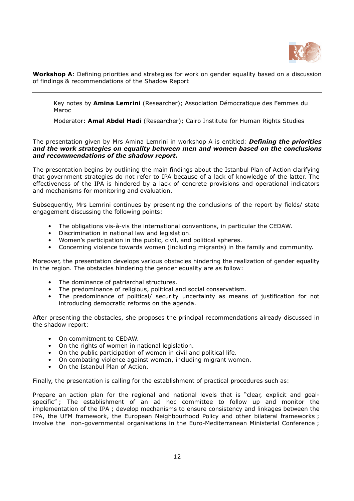

Workshop A: Defining priorities and strategies for work on gender equality based on a discussion of findings & recommendations of the Shadow Report

Key notes by Amina Lemrini (Researcher); Association Démocratique des Femmes du Maroc

Moderator: Amal Abdel Hadi (Researcher); Cairo Institute for Human Rights Studies

The presentation given by Mrs Amina Lemrini in workshop A is entitled: **Defining the priorities** and the work strategies on equality between men and women based on the conclusions and recommendations of the shadow report.

The presentation begins by outlining the main findings about the Istanbul Plan of Action clarifying that government strategies do not refer to IPA because of a lack of knowledge of the latter. The effectiveness of the IPA is hindered by a lack of concrete provisions and operational indicators and mechanisms for monitoring and evaluation.

Subsequently, Mrs Lemrini continues by presenting the conclusions of the report by fields/ state engagement discussing the following points:

- The obligations vis-à-vis the international conventions, in particular the CEDAW.
- Discrimination in national law and legislation.
- Women's participation in the public, civil, and political spheres.
- Concerning violence towards women (including migrants) in the family and community.

Moreover, the presentation develops various obstacles hindering the realization of gender equality in the region. The obstacles hindering the gender equality are as follow:

- The dominance of patriarchal structures.
- The predominance of religious, political and social conservatism.
- The predominance of political/ security uncertainty as means of justification for not introducing democratic reforms on the agenda.

After presenting the obstacles, she proposes the principal recommendations already discussed in the shadow report:

- On commitment to CEDAW.
- On the rights of women in national legislation.
- On the public participation of women in civil and political life.
- On combating violence against women, including migrant women.
- On the Istanbul Plan of Action.

Finally, the presentation is calling for the establishment of practical procedures such as:

Prepare an action plan for the regional and national levels that is "clear, explicit and goalspecific" ; The establishment of an ad hoc committee to follow up and monitor the implementation of the IPA ; develop mechanisms to ensure consistency and linkages between the IPA, the UFM framework, the European Neighbourhood Policy and other bilateral frameworks ; involve the non-governmental organisations in the Euro-Mediterranean Ministerial Conference ;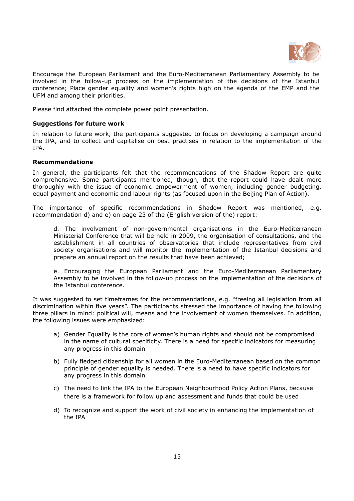

Encourage the European Parliament and the Euro-Mediterranean Parliamentary Assembly to be involved in the follow-up process on the implementation of the decisions of the Istanbul conference; Place gender equality and women's rights high on the agenda of the EMP and the UFM and among their priorities.

Please find attached the complete power point presentation.

# Suggestions for future work

In relation to future work, the participants suggested to focus on developing a campaign around the IPA, and to collect and capitalise on best practises in relation to the implementation of the IPA.

### Recommendations

In general, the participants felt that the recommendations of the Shadow Report are quite comprehensive. Some participants mentioned, though, that the report could have dealt more thoroughly with the issue of economic empowerment of women, including gender budgeting, equal payment and economic and labour rights (as focused upon in the Beijing Plan of Action).

The importance of specific recommendations in Shadow Report was mentioned, e.g. recommendation d) and e) on page 23 of the (English version of the) report:

d. The involvement of non-governmental organisations in the Euro-Mediterranean Ministerial Conference that will be held in 2009, the organisation of consultations, and the establishment in all countries of observatories that include representatives from civil society organisations and will monitor the implementation of the Istanbul decisions and prepare an annual report on the results that have been achieved;

e. Encouraging the European Parliament and the Euro-Mediterranean Parliamentary Assembly to be involved in the follow-up process on the implementation of the decisions of the Istanbul conference.

It was suggested to set timeframes for the recommendations, e.g. "freeing all legislation from all discrimination within five years". The participants stressed the importance of having the following three pillars in mind: political will, means and the involvement of women themselves. In addition, the following issues were emphasized:

- a) Gender Equality is the core of women's human rights and should not be compromised in the name of cultural specificity. There is a need for specific indicators for measuring any progress in this domain
- b) Fully fledged citizenship for all women in the Euro-Mediterranean based on the common principle of gender equality is needed. There is a need to have specific indicators for any progress in this domain
- c) The need to link the IPA to the European Neighbourhood Policy Action Plans, because there is a framework for follow up and assessment and funds that could be used
- d) To recognize and support the work of civil society in enhancing the implementation of the IPA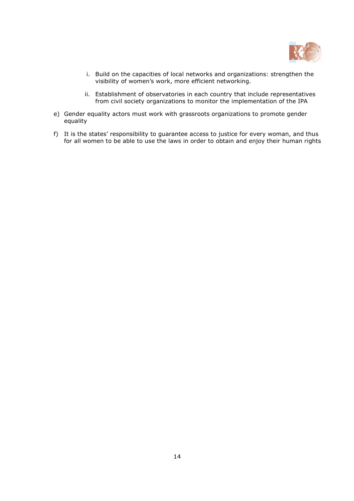

- i. Build on the capacities of local networks and organizations: strengthen the visibility of women's work, more efficient networking.
- ii. Establishment of observatories in each country that include representatives from civil society organizations to monitor the implementation of the IPA
- e) Gender equality actors must work with grassroots organizations to promote gender equality
- f) It is the states' responsibility to guarantee access to justice for every woman, and thus for all women to be able to use the laws in order to obtain and enjoy their human rights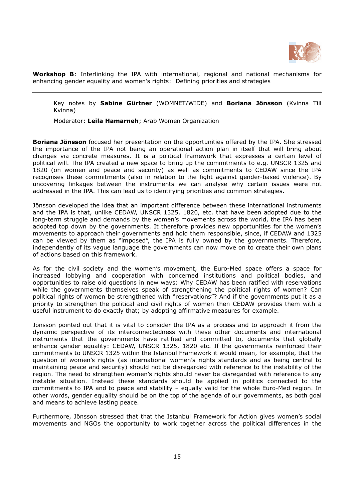

Workshop B: Interlinking the IPA with international, regional and national mechanisms for enhancing gender equality and women's rights: Defining priorities and strategies

Key notes by Sabine Gürtner (WOMNET/WIDE) and Boriana Jönsson (Kvinna Till Kvinna)

Moderator: Leila Hamarneh; Arab Women Organization

**Boriana Jönsson** focused her presentation on the opportunities offered by the IPA. She stressed the importance of the IPA not being an operational action plan in itself that will bring about changes via concrete measures. It is a political framework that expresses a certain level of political will. The IPA created a new space to bring up the commitments to e.g. UNSCR 1325 and 1820 (on women and peace and security) as well as commitments to CEDAW since the IPA recognises these commitments (also in relation to the fight against gender-based violence). By uncovering linkages between the instruments we can analyse why certain issues were not addressed in the IPA. This can lead us to identifying priorities and common strategies.

Jönsson developed the idea that an important difference between these international instruments and the IPA is that, unlike CEDAW, UNSCR 1325, 1820, etc. that have been adopted due to the long-term struggle and demands by the women's movements across the world, the IPA has been adopted top down by the governments. It therefore provides new opportunities for the women's movements to approach their governments and hold them responsible, since, if CEDAW and 1325 can be viewed by them as "imposed", the IPA is fully owned by the governments. Therefore, independently of its vague language the governments can now move on to create their own plans of actions based on this framework.

As for the civil society and the women's movement, the Euro-Med space offers a space for increased lobbying and cooperation with concerned institutions and political bodies, and opportunities to raise old questions in new ways: Why CEDAW has been ratified with reservations while the governments themselves speak of strengthening the political rights of women? Can political rights of women be strengthened with "reservations"? And if the governments put it as a priority to strengthen the political and civil rights of women then CEDAW provides them with a useful instrument to do exactly that; by adopting affirmative measures for example.

Jönsson pointed out that it is vital to consider the IPA as a process and to approach it from the dynamic perspective of its interconnectedness with these other documents and international instruments that the governments have ratified and committed to, documents that globally enhance gender equality: CEDAW, UNSCR 1325, 1820 etc. If the governments reinforced their commitments to UNSCR 1325 within the Istanbul Framework it would mean, for example, that the question of women's rights (as international women's rights standards and as being central to maintaining peace and security) should not be disregarded with reference to the instability of the region. The need to strengthen women's rights should never be disregarded with reference to any instable situation. Instead these standards should be applied in politics connected to the commitments to IPA and to peace and stability – equally valid for the whole Euro-Med region. In other words, gender equality should be on the top of the agenda of our governments, as both goal and means to achieve lasting peace.

Furthermore, Jönsson stressed that that the Istanbul Framework for Action gives women's social movements and NGOs the opportunity to work together across the political differences in the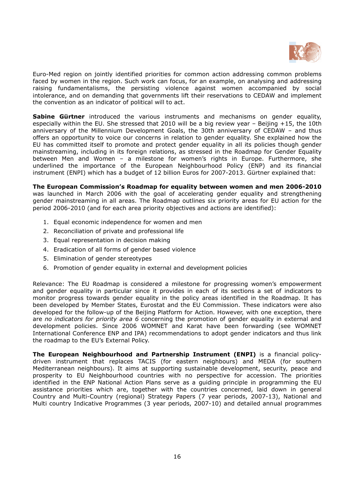

Euro-Med region on jointly identified priorities for common action addressing common problems faced by women in the region. Such work can focus, for an example, on analysing and addressing raising fundamentalisms, the persisting violence against women accompanied by social intolerance, and on demanding that governments lift their reservations to CEDAW and implement the convention as an indicator of political will to act.

Sabine Gürtner introduced the various instruments and mechanisms on gender equality, especially within the EU. She stressed that 2010 will be a big review year – Beijing +15, the 10th anniversary of the Millennium Development Goals, the 30th anniversary of CEDAW – and thus offers an opportunity to voice our concerns in relation to gender equality. She explained how the EU has committed itself to promote and protect gender equality in all its policies though gender mainstreaming, including in its foreign relations, as stressed in the Roadmap for Gender Equality between Men and Women – a milestone for women's rights in Europe. Furthermore, she underlined the importance of the European Neighbourhood Policy (ENP) and its financial instrument (ENPI) which has a budget of 12 billion Euros for 2007-2013. Gürtner explained that:

The European Commission's Roadmap for equality between women and men 2006-2010 was launched in March 2006 with the goal of accelerating gender equality and strengthening gender mainstreaming in all areas. The Roadmap outlines six priority areas for EU action for the period 2006-2010 (and for each area priority objectives and actions are identified):

- 1. Equal economic independence for women and men
- 2. Reconciliation of private and professional life
- 3. Equal representation in decision making
- 4. Eradication of all forms of gender based violence
- 5. Elimination of gender stereotypes
- 6. Promotion of gender equality in external and development policies

Relevance: The EU Roadmap is considered a milestone for progressing women's empowerment and gender equality in particular since it provides in each of its sections a set of indicators to monitor progress towards gender equality in the policy areas identified in the Roadmap. It has been developed by Member States, Eurostat and the EU Commission. These indicators were also developed for the follow-up of the Beijing Platform for Action. However, with one exception, there are no indicators for priority area 6 concerning the promotion of gender equality in external and development policies. Since 2006 WOMNET and Karat have been forwarding (see WOMNET International Conference ENP and IPA) recommendations to adopt gender indicators and thus link the roadmap to the EU's External Policy.

The European Neighbourhood and Partnership Instrument (ENPI) is a financial policydriven instrument that replaces TACIS (for eastern neighbours) and MEDA (for southern Mediterranean neighbours). It aims at supporting sustainable development, security, peace and prosperity to EU Neighbourhood countries with no perspective for accession. The priorities identified in the ENP National Action Plans serve as a guiding principle in programming the EU assistance priorities which are, together with the countries concerned, laid down in general Country and Multi-Country (regional) Strategy Papers (7 year periods, 2007-13), National and Multi country Indicative Programmes (3 year periods, 2007-10) and detailed annual programmes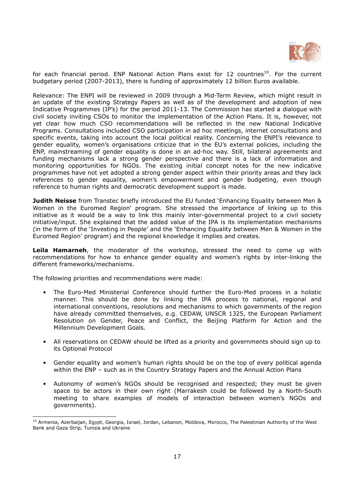

for each financial period. ENP National Action Plans exist for 12 countries<sup>10</sup>. For the current budgetary period (2007-2013), there is funding of approximately 12 billion Euros available.

Relevance: The ENPI will be reviewed in 2009 through a Mid-Term Review, which might result in an update of the existing Strategy Papers as well as of the development and adoption of new Indicative Programmes (IP's) for the period 2011-13. The Commission has started a dialogue with civil society inviting CSOs to monitor the implementation of the Action Plans. It is, however, not yet clear how much CSO recommendations will be reflected in the new National Indicative Programs. Consultations included CSO participation in ad hoc meetings, internet consultations and specific events, taking into account the local political reality. Concerning the ENPI's relevance to gender equality, women's organisations criticize that in the EU's external policies, including the ENP, mainstreaming of gender equality is done in an ad-hoc way. Still, bilateral agreements and funding mechanisms lack a strong gender perspective and there is a lack of information and monitoring opportunities for NGOs. The existing initial concept notes for the new indicative programmes have not yet adopted a strong gender aspect within their priority areas and they lack references to gender equality, women's empowerment and gender budgeting, even though reference to human rights and democratic development support is made.

**Judith Neisse** from Transtec briefly introduced the EU funded 'Enhancing Equality between Men & Women in the Euromed Region' program. She stressed the importance of linking up to this initiative as it would be a way to link this mainly inter-governmental project to a civil society initiative/input. She explained that the added value of the IPA is its implementation mechanisms (in the form of the 'Investing in People' and the 'Enhancing Equality between Men & Women in the Euromed Region' program) and the regional knowledge it implies and creates.

Leila Hamarneh, the moderator of the workshop, stressed the need to come up with recommendations for how to enhance gender equality and women's rights by inter-linking the different frameworks/mechanisms.

The following priorities and recommendations were made:

-

- The Euro-Med Ministerial Conference should further the Euro-Med process in a holistic manner. This should be done by linking the IPA process to national, regional and international conventions, resolutions and mechanisms to which governments of the region have already committed themselves, e.g. CEDAW, UNSCR 1325, the European Parliament Resolution on Gender, Peace and Conflict, the Beijing Platform for Action and the Millennium Development Goals.
- All reservations on CEDAW should be lifted as a priority and governments should sign up to its Optional Protocol
- Gender equality and women's human rights should be on the top of every political agenda within the ENP – such as in the Country Strategy Papers and the Annual Action Plans
- Autonomy of women's NGOs should be recognised and respected; they must be given space to be actors in their own right (Marrakesh could be followed by a North-South meeting to share examples of models of interaction between women's NGOs and governments).

<sup>&</sup>lt;sup>10</sup> Armenia, Azerbaijan, Egypt, Georgia, Israel, Jordan, Lebanon, Moldova, Morocco, The Palestinian Authority of the West Bank and Gaza Strip, Tunisia and Ukraine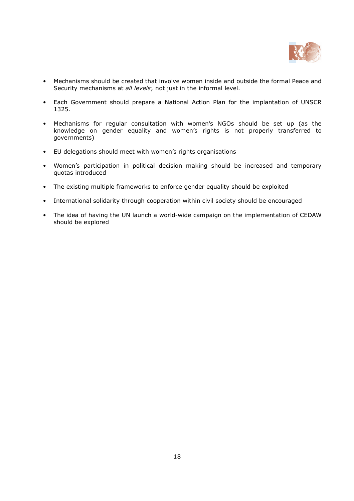

- Mechanisms should be created that involve women inside and outside the formal Peace and Security mechanisms at all levels; not just in the informal level.
- Each Government should prepare a National Action Plan for the implantation of UNSCR 1325.
- Mechanisms for regular consultation with women's NGOs should be set up (as the knowledge on gender equality and women's rights is not properly transferred to governments)
- EU delegations should meet with women's rights organisations
- Women's participation in political decision making should be increased and temporary quotas introduced
- The existing multiple frameworks to enforce gender equality should be exploited
- International solidarity through cooperation within civil society should be encouraged
- The idea of having the UN launch a world-wide campaign on the implementation of CEDAW should be explored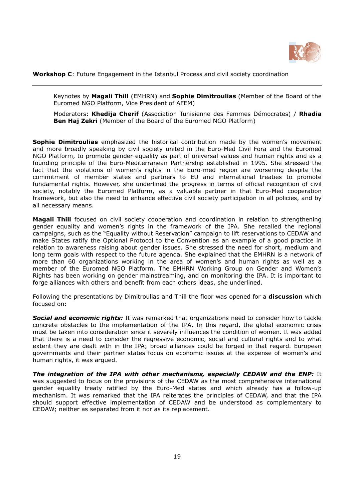

Workshop C: Future Engagement in the Istanbul Process and civil society coordination

Keynotes by Magali Thill (EMHRN) and Sophie Dimitroulias (Member of the Board of the Euromed NGO Platform, Vice President of AFEM)

Moderators: Khedija Cherif (Association Tunisienne des Femmes Démocrates) / Rhadia Ben Haj Zekri (Member of the Board of the Euromed NGO Platform)

**Sophie Dimitroulias** emphasized the historical contribution made by the women's movement and more broadly speaking by civil society united in the Euro-Med Civil Fora and the Euromed NGO Platform, to promote gender equality as part of universal values and human rights and as a founding principle of the Euro-Mediterranean Partnership established in 1995. She stressed the fact that the violations of women's rights in the Euro-med region are worsening despite the commitment of member states and partners to EU and international treaties to promote fundamental rights. However, she underlined the progress in terms of official recognition of civil society, notably the Euromed Platform, as a valuable partner in that Euro-Med cooperation framework, but also the need to enhance effective civil society participation in all policies, and by all necessary means.

Magali Thill focused on civil society cooperation and coordination in relation to strengthening gender equality and women's rights in the framework of the IPA. She recalled the regional campaigns, such as the "Equality without Reservation" campaign to lift reservations to CEDAW and make States ratify the Optional Protocol to the Convention as an example of a good practice in relation to awareness raising about gender issues. She stressed the need for short, medium and long term goals with respect to the future agenda. She explained that the EMHRN is a network of more than 60 organizations working in the area of women's and human rights as well as a member of the Euromed NGO Platform. The EMHRN Working Group on Gender and Women's Rights has been working on gender mainstreaming, and on monitoring the IPA. It is important to forge alliances with others and benefit from each others ideas, she underlined.

Following the presentations by Dimitroulias and Thill the floor was opened for a **discussion** which focused on:

Social and economic rights: It was remarked that organizations need to consider how to tackle concrete obstacles to the implementation of the IPA. In this regard, the global economic crisis must be taken into consideration since it severely influences the condition of women. It was added that there is a need to consider the regressive economic, social and cultural rights and to what extent they are dealt with in the IPA; broad alliances could be forged in that regard. European governments and their partner states focus on economic issues at the expense of women's and human rights, it was argued.

The integration of the IPA with other mechanisms, especially CEDAW and the ENP: It was suggested to focus on the provisions of the CEDAW as the most comprehensive international gender equality treaty ratified by the Euro-Med states and which already has a follow-up mechanism. It was remarked that the IPA reiterates the principles of CEDAW, and that the IPA should support effective implementation of CEDAW and be understood as complementary to CEDAW; neither as separated from it nor as its replacement.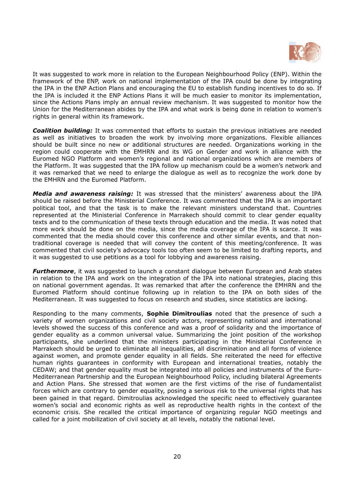

It was suggested to work more in relation to the European Neighbourhood Policy (ENP). Within the framework of the ENP, work on national implementation of the IPA could be done by integrating the IPA in the ENP Action Plans and encouraging the EU to establish funding incentives to do so. If the IPA is included it the ENP Actions Plans it will be much easier to monitor its implementation, since the Actions Plans imply an annual review mechanism. It was suggested to monitor how the Union for the Mediterranean abides by the IPA and what work is being done in relation to women's rights in general within its framework.

**Coalition building:** It was commented that efforts to sustain the previous initiatives are needed as well as initiatives to broaden the work by involving more organizations. Flexible alliances should be built since no new or additional structures are needed. Organizations working in the region could cooperate with the EMHRN and its WG on Gender and work in alliance with the Euromed NGO Platform and women's regional and national organizations which are members of the Platform. It was suggested that the IPA follow up mechanism could be a women's network and it was remarked that we need to enlarge the dialogue as well as to recognize the work done by the EMHRN and the Euromed Platform.

Media and awareness raising: It was stressed that the ministers' awareness about the IPA should be raised before the Ministerial Conference. It was commented that the IPA is an important political tool, and that the task is to make the relevant ministers understand that. Countries represented at the Ministerial Conference in Marrakech should commit to clear gender equality texts and to the communication of these texts through education and the media. It was noted that more work should be done on the media, since the media coverage of the IPA is scarce. It was commented that the media should cover this conference and other similar events, and that nontraditional coverage is needed that will convey the content of this meeting/conference. It was commented that civil society's advocacy tools too often seem to be limited to drafting reports, and it was suggested to use petitions as a tool for lobbying and awareness raising.

**Furthermore**, it was suggested to launch a constant dialogue between European and Arab states in relation to the IPA and work on the integration of the IPA into national strategies, placing this on national government agendas. It was remarked that after the conference the EMHRN and the Euromed Platform should continue following up in relation to the IPA on both sides of the Mediterranean. It was suggested to focus on research and studies, since statistics are lacking.

Responding to the many comments, **Sophie Dimitroulias** noted that the presence of such a variety of women organizations and civil society actors, representing national and international levels showed the success of this conference and was a proof of solidarity and the importance of gender equality as a common universal value. Summarizing the joint position of the workshop participants, she underlined that the ministers participating in the Ministerial Conference in Marrakech should be urged to eliminate all inequalities, all discrimination and all forms of violence against women, and promote gender equality in all fields. She reiterated the need for effective human rights guarantees in conformity with European and international treaties, notably the CEDAW; and that gender equality must be integrated into all policies and instruments of the Euro-Mediterranean Partnership and the European Neighbourhood Policy, including bilateral Agreements and Action Plans. She stressed that women are the first victims of the rise of fundamentalist forces which are contrary to gender equality, posing a serious risk to the universal rights that has been gained in that regard. Dimitroulias acknowledged the specific need to effectively guarantee women's social and economic rights as well as reproductive health rights in the context of the economic crisis. She recalled the critical importance of organizing regular NGO meetings and called for a joint mobilization of civil society at all levels, notably the national level.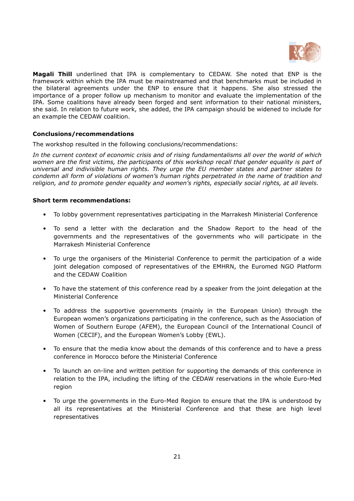

Magali Thill underlined that IPA is complementary to CEDAW. She noted that ENP is the framework within which the IPA must be mainstreamed and that benchmarks must be included in the bilateral agreements under the ENP to ensure that it happens. She also stressed the importance of a proper follow up mechanism to monitor and evaluate the implementation of the IPA. Some coalitions have already been forged and sent information to their national ministers, she said. In relation to future work, she added, the IPA campaign should be widened to include for an example the CEDAW coalition.

# Conclusions/recommendations

The workshop resulted in the following conclusions/recommendations:

In the current context of economic crisis and of rising fundamentalisms all over the world of which women are the first victims, the participants of this workshop recall that gender equality is part of universal and indivisible human rights. They urge the EU member states and partner states to condemn all form of violations of women's human rights perpetrated in the name of tradition and religion, and to promote gender equality and women's rights, especially social rights, at all levels.

### Short term recommendations:

- To lobby government representatives participating in the Marrakesh Ministerial Conference
- To send a letter with the declaration and the Shadow Report to the head of the governments and the representatives of the governments who will participate in the Marrakesh Ministerial Conference
- To urge the organisers of the Ministerial Conference to permit the participation of a wide joint delegation composed of representatives of the EMHRN, the Euromed NGO Platform and the CEDAW Coalition
- To have the statement of this conference read by a speaker from the joint delegation at the Ministerial Conference
- To address the supportive governments (mainly in the European Union) through the European women's organizations participating in the conference, such as the Association of Women of Southern Europe (AFEM), the European Council of the International Council of Women (CECIF), and the European Women's Lobby (EWL).
- To ensure that the media know about the demands of this conference and to have a press conference in Morocco before the Ministerial Conference
- To launch an on-line and written petition for supporting the demands of this conference in relation to the IPA, including the lifting of the CEDAW reservations in the whole Euro-Med region
- To urge the governments in the Euro-Med Region to ensure that the IPA is understood by all its representatives at the Ministerial Conference and that these are high level representatives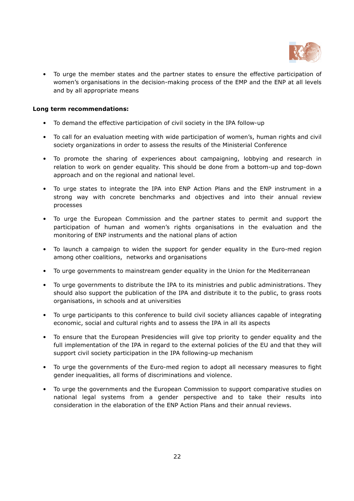

• To urge the member states and the partner states to ensure the effective participation of women's organisations in the decision-making process of the EMP and the ENP at all levels and by all appropriate means

# Long term recommendations:

- To demand the effective participation of civil society in the IPA follow-up
- To call for an evaluation meeting with wide participation of women's, human rights and civil society organizations in order to assess the results of the Ministerial Conference
- To promote the sharing of experiences about campaigning, lobbying and research in relation to work on gender equality. This should be done from a bottom-up and top-down approach and on the regional and national level.
- To urge states to integrate the IPA into ENP Action Plans and the ENP instrument in a strong way with concrete benchmarks and objectives and into their annual review processes
- To urge the European Commission and the partner states to permit and support the participation of human and women's rights organisations in the evaluation and the monitoring of ENP instruments and the national plans of action
- To launch a campaign to widen the support for gender equality in the Euro-med region among other coalitions, networks and organisations
- To urge governments to mainstream gender equality in the Union for the Mediterranean
- To urge governments to distribute the IPA to its ministries and public administrations. They should also support the publication of the IPA and distribute it to the public, to grass roots organisations, in schools and at universities
- To urge participants to this conference to build civil society alliances capable of integrating economic, social and cultural rights and to assess the IPA in all its aspects
- To ensure that the European Presidencies will give top priority to gender equality and the full implementation of the IPA in regard to the external policies of the EU and that they will support civil society participation in the IPA following-up mechanism
- To urge the governments of the Euro-med region to adopt all necessary measures to fight gender inequalities, all forms of discriminations and violence.
- To urge the governments and the European Commission to support comparative studies on national legal systems from a gender perspective and to take their results into consideration in the elaboration of the ENP Action Plans and their annual reviews.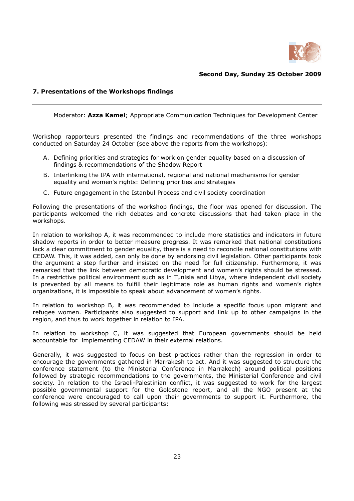

# Second Day, Sunday 25 October 2009

# 7. Presentations of the Workshops findings

Moderator: Azza Kamel; Appropriate Communication Techniques for Development Center

Workshop rapporteurs presented the findings and recommendations of the three workshops conducted on Saturday 24 October (see above the reports from the workshops):

- A. Defining priorities and strategies for work on gender equality based on a discussion of findings & recommendations of the Shadow Report
- B. Interlinking the IPA with international, regional and national mechanisms for gender equality and women's rights: Defining priorities and strategies
- C. Future engagement in the Istanbul Process and civil society coordination

Following the presentations of the workshop findings, the floor was opened for discussion. The participants welcomed the rich debates and concrete discussions that had taken place in the workshops.

In relation to workshop A, it was recommended to include more statistics and indicators in future shadow reports in order to better measure progress. It was remarked that national constitutions lack a clear commitment to gender equality, there is a need to reconcile national constitutions with CEDAW. This, it was added, can only be done by endorsing civil legislation. Other participants took the argument a step further and insisted on the need for full citizenship. Furthermore, it was remarked that the link between democratic development and women's rights should be stressed. In a restrictive political environment such as in Tunisia and Libya, where independent civil society is prevented by all means to fulfill their legitimate role as human rights and women's rights organizations, it is impossible to speak about advancement of women's rights.

In relation to workshop B, it was recommended to include a specific focus upon migrant and refugee women. Participants also suggested to support and link up to other campaigns in the region, and thus to work together in relation to IPA.

In relation to workshop C, it was suggested that European governments should be held accountable for implementing CEDAW in their external relations.

Generally, it was suggested to focus on best practices rather than the regression in order to encourage the governments gathered in Marrakesh to act. And it was suggested to structure the conference statement (to the Ministerial Conference in Marrakech) around political positions followed by strategic recommendations to the governments, the Ministerial Conference and civil society. In relation to the Israeli-Palestinian conflict, it was suggested to work for the largest possible governmental support for the Goldstone report, and all the NGO present at the conference were encouraged to call upon their governments to support it. Furthermore, the following was stressed by several participants: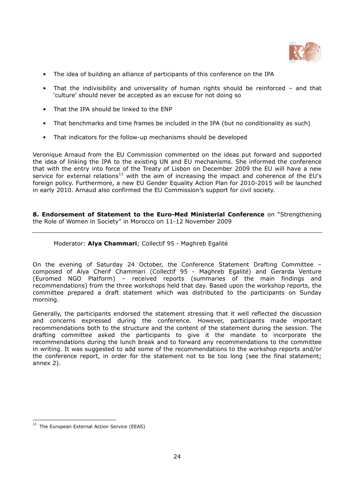

- The idea of building an alliance of participants of this conference on the IPA
- That the indivisibility and universality of human rights should be reinforced and that 'culture' should never be accepted as an excuse for not doing so
- That the IPA should be linked to the ENP
- That benchmarks and time frames be included in the IPA (but no conditionality as such)
- That indicators for the follow-up mechanisms should be developed

Veronique Arnaud from the EU Commission commented on the ideas put forward and supported the idea of linking the IPA to the existing UN and EU mechanisms. She informed the conference that with the entry into force of the Treaty of Lisbon on December 2009 the EU will have a new service for external relations<sup>11</sup> with the aim of increasing the impact and coherence of the EU's foreign policy. Furthermore, a new EU Gender Equality Action Plan for 2010-2015 will be launched in early 2010. Arnaud also confirmed the EU Commission's support for civil society.

8. Endorsement of Statement to the Euro-Med Ministerial Conference on "Strengthening the Role of Women in Society" in Morocco on 11-12 November 2009

# Moderator: Alya Chammari; Collectif 95 - Maghreb Egalité

On the evening of Saturday 24 October, the Conference Statement Drafting Committee – composed of Alya Cherif Chammari (Collectif 95 - Maghreb Egalité) and Gerarda Venture (Euromed NGO Platform) – received reports (summaries of the main findings and recommendations) from the three workshops held that day. Based upon the workshop reports, the committee prepared a draft statement which was distributed to the participants on Sunday morning.

Generally, the participants endorsed the statement stressing that it well reflected the discussion and concerns expressed during the conference. However, participants made important recommendations both to the structure and the content of the statement during the session. The drafting committee asked the participants to give it the mandate to incorporate the recommendations during the lunch break and to forward any recommendations to the committee in writing. It was suggested to add some of the recommendations to the workshop reports and/or the conference report, in order for the statement not to be too long (see the final statement; annex 2).

.

The European External Action Service (EEAS)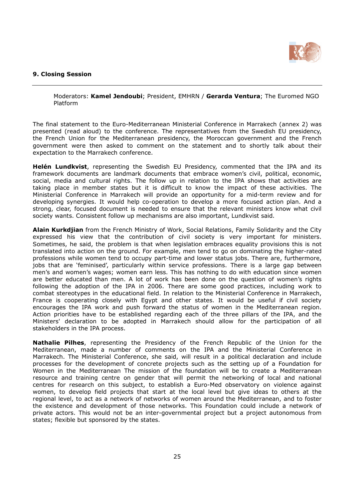

# 9. Closing Session

Moderators: Kamel Jendoubi; President, EMHRN / Gerarda Ventura; The Euromed NGO Platform

The final statement to the Euro-Mediterranean Ministerial Conference in Marrakech (annex 2) was presented (read aloud) to the conference. The representatives from the Swedish EU presidency, the French Union for the Mediterranean presidency, the Moroccan government and the French government were then asked to comment on the statement and to shortly talk about their expectation to the Marrakech conference.

**Helén Lundkvist**, representing the Swedish EU Presidency, commented that the IPA and its framework documents are landmark documents that embrace women's civil, political, economic, social, media and cultural rights. The follow up in relation to the IPA shows that activities are taking place in member states but it is difficult to know the impact of these activities. The Ministerial Conference in Marrakech will provide an opportunity for a mid-term review and for developing synergies. It would help co-operation to develop a more focused action plan. And a strong, clear, focused document is needed to ensure that the relevant ministers know what civil society wants. Consistent follow up mechanisms are also important, Lundkvist said.

Alain Kurkdjian from the French Ministry of Work, Social Relations, Family Solidarity and the City expressed his view that the contribution of civil society is very important for ministers. Sometimes, he said, the problem is that when legislation embraces equality provisions this is not translated into action on the ground. For example, men tend to go on dominating the higher-rated professions while women tend to occupy part-time and lower status jobs. There are, furthermore, jobs that are 'feminised', particularly within service professions. There is a large gap between men's and women's wages; women earn less. This has nothing to do with education since women are better educated than men. A lot of work has been done on the question of women's rights following the adoption of the IPA in 2006. There are some good practices, including work to combat stereotypes in the educational field. In relation to the Ministerial Conference in Marrakech, France is cooperating closely with Egypt and other states. It would be useful if civil society encourages the IPA work and push forward the status of women in the Mediterranean region. Action priorities have to be established regarding each of the three pillars of the IPA, and the Ministers' declaration to be adopted in Marrakech should allow for the participation of all stakeholders in the IPA process.

Nathalie Pilhes, representing the Presidency of the French Republic of the Union for the Mediterranean, made a number of comments on the IPA and the Ministerial Conference in Marrakech. The Ministerial Conference, she said, will result in a political declaration and include processes for the development of concrete projects such as the setting up of a Foundation for Women in the Mediterranean The mission of the foundation will be to create a Mediterranean resource and training centre on gender that will permit the networking of local and national centres for research on this subject, to establish a Euro-Med observatory on violence against women, to develop field projects that start at the local level but give ideas to others at the regional level, to act as a network of networks of women around the Mediterranean, and to foster the existence and development of those networks. This Foundation could include a network of private actors. This would not be an inter-governmental project but a project autonomous from states; flexible but sponsored by the states.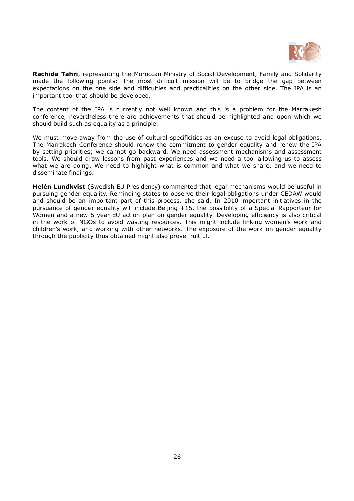

Rachida Tahri, representing the Moroccan Ministry of Social Development, Family and Solidarity made the following points: The most difficult mission will be to bridge the gap between expectations on the one side and difficulties and practicalities on the other side. The IPA is an important tool that should be developed.

The content of the IPA is currently not well known and this is a problem for the Marrakesh conference, nevertheless there are achievements that should be highlighted and upon which we should build such as equality as a principle.

We must move away from the use of cultural specificities as an excuse to avoid legal obligations. The Marrakech Conference should renew the commitment to gender equality and renew the IPA by setting priorities; we cannot go backward. We need assessment mechanisms and assessment tools. We should draw lessons from past experiences and we need a tool allowing us to assess what we are doing. We need to highlight what is common and what we share, and we need to disseminate findings.

**Helén Lundkvist** (Swedish EU Presidency) commented that legal mechanisms would be useful in pursuing gender equality. Reminding states to observe their legal obligations under CEDAW would and should be an important part of this process, she said. In 2010 important initiatives in the pursuance of gender equality will include Beijing +15, the possibility of a Special Rapporteur for Women and a new 5 year EU action plan on gender equality. Developing efficiency is also critical in the work of NGOs to avoid wasting resources. This might include linking women's work and children's work, and working with other networks. The exposure of the work on gender equality through the publicity thus obtained might also prove fruitful.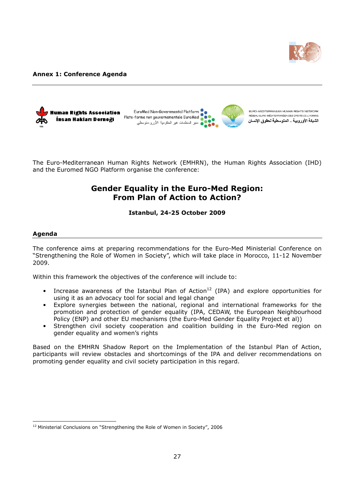

#### Annex 1: Conference Agenda



The Euro-Mediterranean Human Rights Network (EMHRN), the Human Rights Association (IHD) and the Euromed NGO Platform organise the conference:

# Gender Equality in the Euro-Med Region: From Plan of Action to Action?

### Istanbul, 24-25 October 2009

#### Agenda

 $\overline{a}$ 

The conference aims at preparing recommendations for the Euro-Med Ministerial Conference on "Strengthening the Role of Women in Society", which will take place in Morocco, 11-12 November 2009.

Within this framework the objectives of the conference will include to:

- Increase awareness of the Istanbul Plan of Action<sup>12</sup> (IPA) and explore opportunities for using it as an advocacy tool for social and legal change
- Explore synergies between the national, regional and international frameworks for the promotion and protection of gender equality (IPA, CEDAW, the European Neighbourhood Policy (ENP) and other EU mechanisms (the Euro-Med Gender Equality Project et al))
- Strengthen civil society cooperation and coalition building in the Euro-Med region on gender equality and women's rights

Based on the EMHRN Shadow Report on the Implementation of the Istanbul Plan of Action, participants will review obstacles and shortcomings of the IPA and deliver recommendations on promoting gender equality and civil society participation in this regard.

<sup>&</sup>lt;sup>12</sup> Ministerial Conclusions on "Strengthening the Role of Women in Society", 2006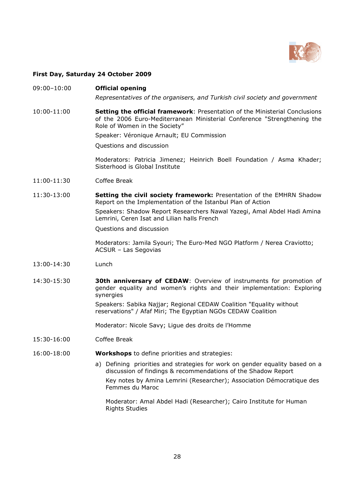

## First Day, Saturday 24 October 2009

#### 09:00–10:00 Official opening

Representatives of the organisers, and Turkish civil society and government

10:00-11:00 Setting the official framework: Presentation of the Ministerial Conclusions of the 2006 Euro-Mediterranean Ministerial Conference "Strengthening the Role of Women in the Society"

Speaker: Véronique Arnault; EU Commission

Questions and discussion

Moderators: Patricia Jimenez; Heinrich Boell Foundation / Asma Khader; Sisterhood is Global Institute

- 11:00-11:30 Coffee Break
- 11:30-13:00 **Setting the civil society framework:** Presentation of the EMHRN Shadow Report on the Implementation of the Istanbul Plan of Action

Speakers: Shadow Report Researchers Nawal Yazegi, Amal Abdel Hadi Amina Lemrini, Ceren Isat and Lilian halls French

Questions and discussion

Moderators: Jamila Syouri; The Euro-Med NGO Platform / Nerea Craviotto; ACSUR – Las Segovias

- 13:00-14:30 Lunch
- 14:30-15:30 30th anniversary of CEDAW: Overview of instruments for promotion of gender equality and women's rights and their implementation: Exploring synergies Speakers: Sabika Najjar; Regional CEDAW Coalition "Equality without reservations" / Afaf Miri; The Egyptian NGOs CEDAW Coalition

Moderator: Nicole Savy; Ligue des droits de l'Homme

- 15:30-16:00 Coffee Break
- 16:00-18:00 **Workshops** to define priorities and strategies:
	- a) Defining priorities and strategies for work on gender equality based on a discussion of findings & recommendations of the Shadow Report Key notes by Amina Lemrini (Researcher); Association Démocratique des Femmes du Maroc

Moderator: Amal Abdel Hadi (Researcher); Cairo Institute for Human Rights Studies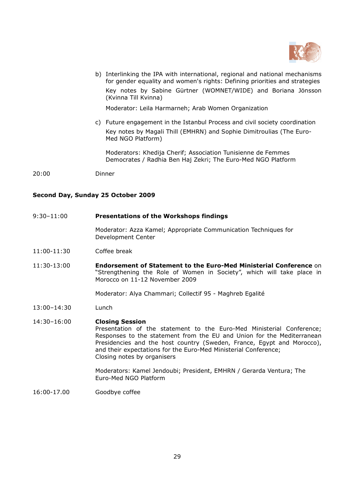

b) Interlinking the IPA with international, regional and national mechanisms for gender equality and women's rights: Defining priorities and strategies Key notes by Sabine Gürtner (WOMNET/WIDE) and Boriana Jönsson (Kvinna Till Kvinna)

Moderator: Leila Harmarneh; Arab Women Organization

c) Future engagement in the Istanbul Process and civil society coordination Key notes by Magali Thill (EMHRN) and Sophie Dimitroulias (The Euro-Med NGO Platform)

Moderators: Khedija Cherif; Association Tunisienne de Femmes Democrates / Radhia Ben Haj Zekri; The Euro-Med NGO Platform

20:00 Dinner

# Second Day, Sunday 25 October 2009

#### 9:30–11:00 Presentations of the Workshops findings

Moderator: Azza Kamel; Appropriate Communication Techniques for Development Center

- 11:00-11:30 Coffee break
- 11:30-13:00 Endorsement of Statement to the Euro-Med Ministerial Conference on "Strengthening the Role of Women in Society", which will take place in Morocco on 11-12 November 2009

Moderator: Alya Chammari; Collectif 95 - Maghreb Egalité

13:00–14:30 Lunch

### 14:30–16:00 Closing Session Presentation of the statement to the Euro-Med Ministerial Conference; Responses to the statement from the EU and Union for the Mediterranean Presidencies and the host country (Sweden, France, Egypt and Morocco), and their expectations for the Euro-Med Ministerial Conference; Closing notes by organisers

Moderators: Kamel Jendoubi; President, EMHRN / Gerarda Ventura; The Euro-Med NGO Platform

16:00-17.00 Goodbye coffee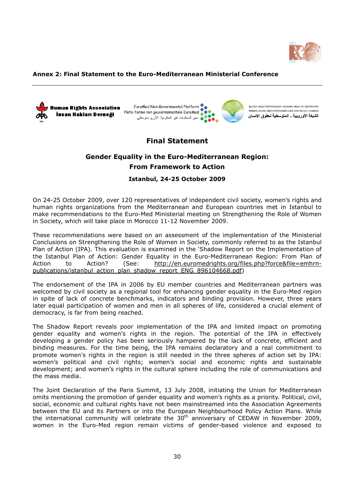

### Annex 2: Final Statement to the Euro-Mediterranean Ministerial Conference



EuroMed Non-Governmental Platform Plate-forme non gouvernementale EuroMed • • منبر المنظمات غير الحكومية الأوروحتوسطي



EURO-MEDITERRANEAN HUMAN RIGHTS NETWORK RÉSEAU EURO-MÉDITERRANÉEN DES DROITS DE L'HOM الشبكة الأوروبية \_ المتوسطية لحقوق الإنسان

# Final Statement

# Gender Equality in the Euro-Mediterranean Region: From Framework to Action

# Istanbul, 24-25 October 2009

On 24-25 October 2009, over 120 representatives of independent civil society, women's rights and human rights organizations from the Mediterranean and European countries met in Istanbul to make recommendations to the Euro-Med Ministerial meeting on Strengthening the Role of Women in Society, which will take place in Morocco 11-12 November 2009.

These recommendations were based on an assessment of the implementation of the Ministerial Conclusions on Strengthening the Role of Women in Society, commonly referred to as the Istanbul Plan of Action (IPA). This evaluation is examined in the 'Shadow Report on the Implementation of the Istanbul Plan of Action: Gender Equality in the Euro-Mediterranean Region: From Plan of Action to Action? (See: http://en.euromedrights.org/files.php?force&file=emhrnpublications/istanbul\_action\_plan\_shadow\_report\_ENG\_896104668.pdf)

The endorsement of the IPA in 2006 by EU member countries and Mediterranean partners was welcomed by civil society as a regional tool for enhancing gender equality in the Euro-Med region in spite of lack of concrete benchmarks, indicators and binding provision. However, three years later equal participation of women and men in all spheres of life, considered a crucial element of democracy, is far from being reached.

The Shadow Report reveals poor implementation of the IPA and limited impact on promoting gender equality and women's rights in the region. The potential of the IPA in effectively developing a gender policy has been seriously hampered by the lack of concrete, efficient and binding measures. For the time being, the IPA remains declaratory and a real commitment to promote women's rights in the region is still needed in the three spheres of action set by IPA: women's political and civil rights; women's social and economic rights and sustainable development; and women's rights in the cultural sphere including the role of communications and the mass media.

The Joint Declaration of the Paris Summit, 13 July 2008, initiating the Union for Mediterranean omits mentioning the promotion of gender equality and women's rights as a priority. Political, civil, social, economic and cultural rights have not been mainstreamed into the Association Agreements between the EU and its Partners or into the European Neighbourhood Policy Action Plans. While the international community will celebrate the  $30<sup>th</sup>$  anniversary of CEDAW in November 2009, women in the Euro-Med region remain victims of gender-based violence and exposed to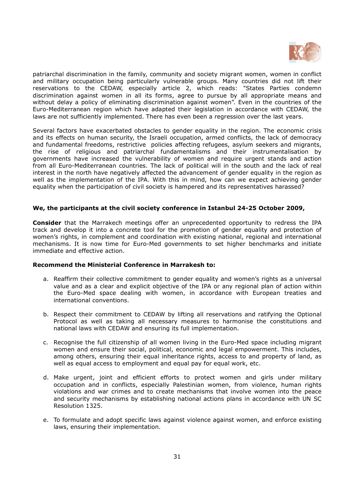

patriarchal discrimination in the family, community and society migrant women, women in conflict and military occupation being particularly vulnerable groups. Many countries did not lift their reservations to the CEDAW, especially article 2, which reads: "States Parties condemn discrimination against women in all its forms, agree to pursue by all appropriate means and without delay a policy of eliminating discrimination against women". Even in the countries of the Euro-Mediterranean region which have adapted their legislation in accordance with CEDAW, the laws are not sufficiently implemented. There has even been a regression over the last years.

Several factors have exacerbated obstacles to gender equality in the region. The economic crisis and its effects on human security, the Israeli occupation, armed conflicts, the lack of democracy and fundamental freedoms, restrictive policies affecting refugees, asylum seekers and migrants, the rise of religious and patriarchal fundamentalisms and their instrumentalisation by governments have increased the vulnerability of women and require urgent stands and action from all Euro-Mediterranean countries. The lack of political will in the south and the lack of real interest in the north have negatively affected the advancement of gender equality in the region as well as the implementation of the IPA. With this in mind, how can we expect achieving gender equality when the participation of civil society is hampered and its representatives harassed?

# We, the participants at the civil society conference in Istanbul 24-25 October 2009,

Consider that the Marrakech meetings offer an unprecedented opportunity to redress the IPA track and develop it into a concrete tool for the promotion of gender equality and protection of women's rights, in complement and coordination with existing national, regional and international mechanisms. It is now time for Euro-Med governments to set higher benchmarks and initiate immediate and effective action.

### Recommend the Ministerial Conference in Marrakesh to:

- a. Reaffirm their collective commitment to gender equality and women's rights as a universal value and as a clear and explicit objective of the IPA or any regional plan of action within the Euro-Med space dealing with women, in accordance with European treaties and international conventions.
- b. Respect their commitment to CEDAW by lifting all reservations and ratifying the Optional Protocol as well as taking all necessary measures to harmonise the constitutions and national laws with CEDAW and ensuring its full implementation.
- c. Recognise the full citizenship of all women living in the Euro-Med space including migrant women and ensure their social, political, economic and legal empowerment. This includes, among others, ensuring their equal inheritance rights, access to and property of land, as well as equal access to employment and equal pay for equal work, etc.
- d. Make urgent, joint and efficient efforts to protect women and girls under military occupation and in conflicts, especially Palestinian women, from violence, human rights violations and war crimes and to create mechanisms that involve women into the peace and security mechanisms by establishing national actions plans in accordance with UN SC Resolution 1325.
- e. To formulate and adopt specific laws against violence against women, and enforce existing laws, ensuring their implementation.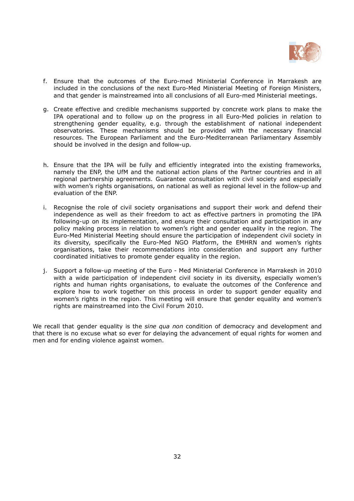

- f. Ensure that the outcomes of the Euro-med Ministerial Conference in Marrakesh are included in the conclusions of the next Euro-Med Ministerial Meeting of Foreign Ministers, and that gender is mainstreamed into all conclusions of all Euro-med Ministerial meetings.
- g. Create effective and credible mechanisms supported by concrete work plans to make the IPA operational and to follow up on the progress in all Euro-Med policies in relation to strengthening gender equality, e.g. through the establishment of national independent observatories. These mechanisms should be provided with the necessary financial resources. The European Parliament and the Euro-Mediterranean Parliamentary Assembly should be involved in the design and follow-up.
- h. Ensure that the IPA will be fully and efficiently integrated into the existing frameworks, namely the ENP, the UfM and the national action plans of the Partner countries and in all regional partnership agreements. Guarantee consultation with civil society and especially with women's rights organisations, on national as well as regional level in the follow-up and evaluation of the ENP.
- i. Recognise the role of civil society organisations and support their work and defend their independence as well as their freedom to act as effective partners in promoting the IPA following-up on its implementation, and ensure their consultation and participation in any policy making process in relation to women's right and gender equality in the region. The Euro-Med Ministerial Meeting should ensure the participation of independent civil society in its diversity, specifically the Euro-Med NGO Platform, the EMHRN and women's rights organisations, take their recommendations into consideration and support any further coordinated initiatives to promote gender equality in the region.
- j. Support a follow-up meeting of the Euro Med Ministerial Conference in Marrakesh in 2010 with a wide participation of independent civil society in its diversity, especially women's rights and human rights organisations, to evaluate the outcomes of the Conference and explore how to work together on this process in order to support gender equality and women's rights in the region. This meeting will ensure that gender equality and women's rights are mainstreamed into the Civil Forum 2010.

We recall that gender equality is the sine qua non condition of democracy and development and that there is no excuse what so ever for delaying the advancement of equal rights for women and men and for ending violence against women.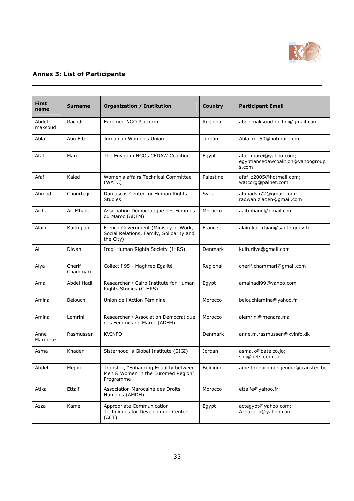

# Annex 3: List of Participants

| <b>First</b><br>name | <b>Surname</b>     | <b>Organization / Institution</b>                                                             | Country        | <b>Participant Email</b>                                            |
|----------------------|--------------------|-----------------------------------------------------------------------------------------------|----------------|---------------------------------------------------------------------|
| Abdel-<br>maksoud    | Rachdi             | Euromed NGO Platform                                                                          | Regional       | abdelmaksoud.rachdi@gmail.com                                       |
| Abla                 | Abu Elbeh          | Jordanian Women's Union                                                                       | Jordan         | Abla_m_50@hotmail.com                                               |
| Afaf                 | Marei              | The Egyptian NGOs CEDAW Coalition                                                             | Egypt          | afaf_marei@yahoo.com;<br>egyptiancedawcoalition@yahoogroup<br>s.com |
| Afaf                 | Kaied              | Women's affairs Technical Committee<br>(WATC)                                                 | Palestine      | afaf z2005@hotmail.com;<br>watcorg@palnet.com                       |
| Ahmad                | Chourbaji          | Damascus Center for Human Rights<br><b>Studies</b>                                            | Syria          | ahmadsh72@gmail.com;<br>radwan.ziadeh@gmail.com                     |
| Aicha                | Ait Mhand          | Association Démocratique des Femmes<br>du Maroc (ADFM)                                        | Morocco        | aaitmhand@gmail.com                                                 |
| Alain                | Kurkdjian          | French Government (Ministry of Work,<br>Social Relations, Family, Solidarity and<br>the City) | France         | alain.kurkdjian@sante.gouv.fr                                       |
| Ali                  | Diwan              | Iraqi Human Rights Society (IHRS)                                                             | Denmark        | kulturlive@gmail.com                                                |
| Alya                 | Cherif<br>Chammari | Collectif 95 - Maghreb Egalité                                                                | Regional       | cherif.chammari@gmail.com                                           |
| Amal                 | Abdel Hadi         | Researcher / Cairo Institute for Human<br>Rights Studies (CIHRS)                              | Egypt          | amalhadi99@yahoo.com                                                |
| Amina                | Belouchi           | Union de l'Action Féminine                                                                    | Morocco        | belouchiamina@yahoo.fr                                              |
| Amina                | Lemrini            | Researcher / Association Démocratique<br>des Femmes du Maroc (ADFM)                           | Morocco        | alemrini@menara.ma                                                  |
| Anne<br>Margrete     | Rasmussen          | <b>KVINFO</b>                                                                                 | <b>Denmark</b> | anne.m.rasmussen@kvinfo.dk                                          |
| Asma                 | Khader             | Sisterhood is Global Institute (SIGI)                                                         | Jordan         | asma.k@batelco.jo;<br>sigi@nets.com.jo                              |
| Atidel               | Mejbri             | Transtec, "Enhancing Equality between<br>Men & Women in the Euromed Region"<br>Programme      | Belgium        | amejbri.euromedgender@transtec.be                                   |
| Atika                | Ettaif             | Association Marocaine des Droits<br>Humains (AMDH)                                            | Morocco        | ettaife@yahoo.fr                                                    |
| Azza                 | Kamel              | Appropriate Communication<br>Techniques for Development Center<br>(ACT)                       | Egypt          | actegypt@yahoo.com;<br>Azouza k@yahoo.com                           |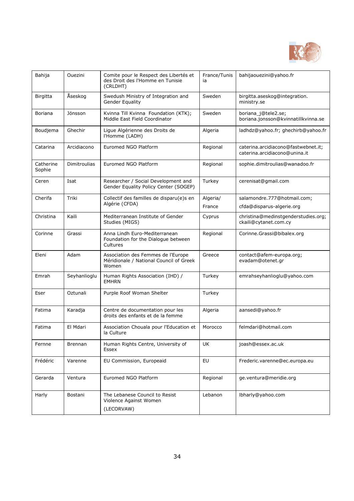

| Bahija              | Ouezini             | Comite pour le Respect des Libertés et<br>des Droit des l'Homme en Tunisie<br>(CRLDHT) | France/Tunis<br>ia | bahijaouezini@yahoo.fr                                               |
|---------------------|---------------------|----------------------------------------------------------------------------------------|--------------------|----------------------------------------------------------------------|
| <b>Birgitta</b>     | Åseskog             | Swedush Ministry of Integration and<br>Gender Equality                                 | Sweden             | birgitta.aseskog@integration.<br>ministry.se                         |
| Boriana             | Jönsson             | Kvinna Till Kvinna Foundation (KTK);<br>Middle East Field Coordinator                  | Sweden             | boriana j@tele2.se;<br>boriana.jonsson@kvinnatillkvinna.se           |
| Boudjema            | Ghechir             | Lique Algérienne des Droits de<br>l'Homme (LADH)                                       | Algeria            | ladhdz@yahoo.fr; ghechirb@yahoo.fr                                   |
| Catarina            | Arcidiacono         | Euromed NGO Platform                                                                   | Regional           | caterina.arcidiacono@fastwebnet.it;<br>caterina.arcidiacono@unina.it |
| Catherine<br>Sophie | <b>Dimitroulias</b> | Euromed NGO Platform                                                                   | Regional           | sophie.dimitroulias@wanadoo.fr                                       |
| Ceren               | Isat                | Researcher / Social Development and<br>Gender Equality Policy Center (SOGEP)           | Turkey             | cerenisat@gmail.com                                                  |
| Cherifa             | Triki               | Collectif des familles de disparu(e)s en                                               | Algeria/           | salamondre.777@hotmail.com;                                          |
|                     |                     | Algérie (CFDA)                                                                         | France             | cfda@disparus-algerie.org                                            |
| Christina           | Kaili               | Mediterranean Institute of Gender<br>Studies (MIGS)                                    | Cyprus             | christina@medinstgenderstudies.org;<br>ckaili@cytanet.com.cy         |
| Corinne             | Grassi              | Anna Lindh Euro-Mediterranean<br>Foundation for the Dialogue between<br>Cultures       | Regional           | Corinne.Grassi@bibalex.org                                           |
| Eleni               | Adam                | Association des Femmes de l'Europe<br>Méridionale / National Council of Greek<br>Women | Greece             | contact@afem-europa.org;<br>evadam@otenet.gr                         |
| Emrah               | Seyhanlioglu        | Human Rights Association (IHD) /<br><b>EMHRN</b>                                       | Turkey             | emrahseyhanlioglu@yahoo.com                                          |
| Eser                | Oztunali            | Purple Roof Woman Shelter                                                              | Turkey             |                                                                      |
| Fatima              | Karadja             | Centre de documentation pour les<br>droits des enfants et de la femme                  | Algeria            | aansedi@yahoo.fr                                                     |
| Fatima              | El Mdari            | Association Chouala pour l'Education et<br>la Culture                                  | Morocco            | felmdari@hotmail.com                                                 |
| Fernne              | Brennan             | Human Rights Centre, University of<br>Essex                                            | UK                 | joash@essex.ac.uk                                                    |
| Frédéric            | Varenne             | EU Commission, Europeaid                                                               | EU                 | Frederic.varenne@ec.europa.eu                                        |
| Gerarda             | Ventura             | Euromed NGO Platform                                                                   | Regional           | ge.ventura@meridie.org                                               |
| Harly               | Bostani             | The Lebanese Council to Resist<br>Violence Against Women<br>(LECORVAW)                 | Lebanon            | Ibharly@yahoo.com                                                    |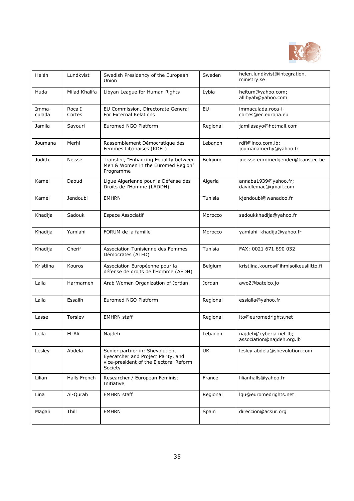

| Helén           | Lundkvist        | Swedish Presidency of the European<br>Union                                                                                | Sweden    | helen.lundkvist@integration.<br>ministry.se         |
|-----------------|------------------|----------------------------------------------------------------------------------------------------------------------------|-----------|-----------------------------------------------------|
| Huda            | Milad Khalifa    | Libyan League for Human Rights                                                                                             | Lybia     | heitum@yahoo.com;<br>allibyah@yahoo.com             |
| Imma-<br>culada | Roca I<br>Cortes | EU Commission, Directorate General<br>For External Relations                                                               | EU        | immaculada.roca-i-<br>cortes@ec.europa.eu           |
| Jamila          | Sayouri          | Euromed NGO Platform                                                                                                       | Regional  | jamilasayo@hotmail.com                              |
| Joumana         | Merhi            | Rassemblement Démocratique des<br>Femmes Libanaises (RDFL)                                                                 | Lebanon   | rdfl@inco.com.lb;<br>joumanamerhy@yahoo.fr          |
| Judith          | Neisse           | Transtec, "Enhancing Equality between<br>Men & Women in the Euromed Region"<br>Programme                                   | Belgium   | jneisse.euromedgender@transtec.be                   |
| Kamel           | Daoud            | Ligue Algerienne pour la Défense des<br>Droits de l'Homme (LADDH)                                                          | Algeria   | annaba1939@yahoo.fr;<br>davidlemac@gmail.com        |
| Kamel           | Jendoubi         | <b>EMHRN</b>                                                                                                               | Tunisia   | kjendoubi@wanadoo.fr                                |
| Khadija         | Sadouk           | <b>Espace Associatif</b>                                                                                                   | Morocco   | sadoukkhadija@yahoo.fr                              |
| Khadija         | Yamlahi          | FORUM de la famille                                                                                                        | Morocco   | yamlahi khadija@yahoo.fr                            |
| Khadija         | Cherif           | Association Tunisienne des Femmes<br>Démocrates (ATFD)                                                                     | Tunisia   | FAX: 0021 671 890 032                               |
| Kristiina       | Kouros           | Association Européenne pour la<br>défense de droits de l'Homme (AEDH)                                                      | Belgium   | kristiina.kouros@ihmisoikeusliitto.fi               |
| Laila           | Harmarneh        | Arab Women Organization of Jordan                                                                                          | Jordan    | awo2@batelco.jo                                     |
| Laila           | Essalih          | Euromed NGO Platform                                                                                                       | Regional  | esslaila@yahoo.fr                                   |
| Lasse           | Tørslev          | <b>EMHRN</b> staff                                                                                                         | Regional  | lto@euromedrights.net                               |
| Leila           | El-Ali           | Najdeh                                                                                                                     | Lebanon   | najdeh@cyberia.net.lb;<br>association@najdeh.org.lb |
| Lesley          | Abdela           | Senior partner in: Shevolution,<br>Eyecatcher and Project Parity, and<br>vice-president of the Electoral Reform<br>Society | <b>UK</b> | lesley.abdela@shevolution.com                       |
| Lilian          | Halls French     | Researcher / European Feminist<br>Initiative                                                                               | France    | lilianhalls@yahoo.fr                                |
| Lina            | Al-Qurah         | <b>EMHRN</b> staff                                                                                                         | Regional  | lqu@euromedrights.net                               |
| Magali          | Thill            | EMHRN                                                                                                                      | Spain     | direccion@acsur.org                                 |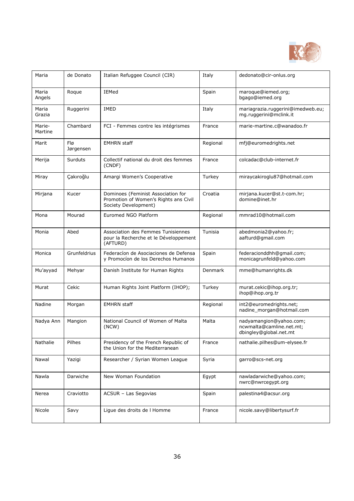

| Maria             | de Donato        | Italian Refuggee Council (CIR)                                                                      | Italy    | dedonato@cir-onlus.org                                                        |
|-------------------|------------------|-----------------------------------------------------------------------------------------------------|----------|-------------------------------------------------------------------------------|
| Maria<br>Angels   | Roque            | IEMed                                                                                               | Spain    | maroque@iemed.org;<br>bgago@iemed.org                                         |
| Maria<br>Grazia   | Ruggerini        | <b>IMED</b>                                                                                         | Italy    | mariagrazia.ruggerini@imedweb.eu;<br>mg.ruggerini@mclink.it                   |
| Marie-<br>Martine | Chambard         | FCI - Femmes contre les intégrismes                                                                 | France   | marie-martine.c@wanadoo.fr                                                    |
| Marit             | Flø<br>Jørgensen | <b>EMHRN</b> staff                                                                                  | Regional | mfj@euromedrights.net                                                         |
| Merija            | Surduts          | Collectif national du droit des femmes<br>(CNDF)                                                    | France   | colcadac@club-internet.fr                                                     |
| Miray             | Çakıroğlu        | Amargi Women's Cooperative                                                                          | Turkey   | miraycakiroglu87@hotmail.com                                                  |
| Mirjana           | Kucer            | Dominoes (Feminist Association for<br>Promotion of Women's Rights ans Civil<br>Society Development) | Croatia  | mirjana.kucer@st.t-com.hr;<br>domine@inet.hr                                  |
| Mona              | Mourad           | Euromed NGO Platform                                                                                | Regional | mmrad10@hotmail.com                                                           |
| Monia             | Abed             | Association des Femmes Tunisiennes<br>pour la Recherche et le Développement<br>(AFTURD)             | Tunisia  | abedmonia2@yahoo.fr;<br>aafturd@gmail.com                                     |
| Monica            | Grunfeldrius     | Federacion de Asociaciones de Defensa<br>y Promocíon de los Derechos Humanos                        | Spain    | federacionddhh@gmail.com;<br>monicagrunfeld@yahoo.com                         |
| Mu'ayyad          | Mehyar           | Danish Institute for Human Rights                                                                   | Denmark  | mme@humanrights.dk                                                            |
| Murat             | Cekic            | Human Rights Joint Platform (IHOP);                                                                 | Turkey   | murat.cekic@ihop.org.tr;<br>ihop@ihop.org.tr                                  |
| Nadine            | Morgan           | <b>EMHRN</b> staff                                                                                  | Regional | int2@euromedrights.net;<br>nadine_morgan@hotmail.com                          |
| Nadya Ann         | Mangion          | National Council of Women of Malta<br>(NCW)                                                         | Malta    | nadyamangion@yahoo.com;<br>ncwmalta@camline.net.mt;<br>dbingley@global.net.mt |
| Nathalie          | Pilhes           | Presidency of the French Republic of<br>the Union for the Mediterranean                             | France   | nathalie.pilhes@um-elysee.fr                                                  |
| Nawal             | Yazigi           | Researcher / Syrian Women League                                                                    | Syria    | garro@scs-net.org                                                             |
| Nawla             | Darwiche         | New Woman Foundation                                                                                | Egypt    | nawladarwiche@yahoo.com;<br>nwrc@nwrceqypt.org                                |
| Nerea             | Craviotto        | ACSUR - Las Segovias                                                                                | Spain    | palestina4@acsur.org                                                          |
| Nicole            | Savy             | Ligue des droits de I Homme                                                                         | France   | nicole.savy@libertysurf.fr                                                    |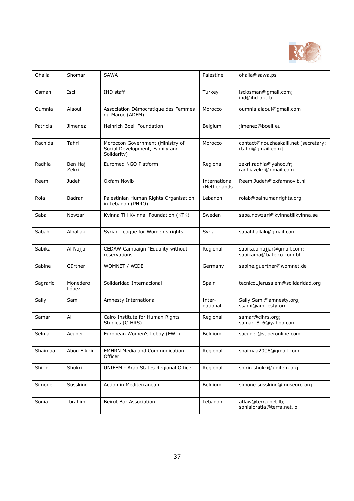

| Ohaila   | Shomar            | <b>SAWA</b>                                                                       | Palestine                     | ohaila@sawa.ps                                            |
|----------|-------------------|-----------------------------------------------------------------------------------|-------------------------------|-----------------------------------------------------------|
| Osman    | Isci              | IHD staff                                                                         | Turkey                        | isciosman@gmail.com;<br>ihd@ihd.org.tr                    |
| Oumnia   | Alaoui            | Association Démocratique des Femmes<br>du Maroc (ADFM)                            | Morocco                       | oumnia.alaoui@gmail.com                                   |
| Patricia | Jimenez           | <b>Heinrich Boell Foundation</b>                                                  | Belgium                       | jimenez@boell.eu                                          |
| Rachida  | Tahri             | Moroccon Government (Ministry of<br>Social Development, Family and<br>Solidarity) | Morocco                       | contact@nouzhaskalli.net [secretary:<br>rtahri@gmail.com] |
| Radhia   | Ben Haj<br>Zekri  | Euromed NGO Platform                                                              | Regional                      | zekri.radhia@yahoo.fr;<br>radhiazekri@gmail.com           |
| Reem     | Judeh             | Oxfam Novib                                                                       | International<br>/Netherlands | Reem.Judeh@oxfamnovib.nl                                  |
| Rola     | Badran            | Palestinian Human Rights Organisation<br>in Lebanon (PHRO)                        | Lebanon                       | rolab@palhumanrights.org                                  |
| Saba     | Nowzari           | Kvinna Till Kvinna Foundation (KTK)                                               | Sweden                        | saba.nowzari@kvinnatillkvinna.se                          |
| Sabah    | Alhallak          | Syrian League for Women s rights                                                  | Syria                         | sabahhallak@gmail.com                                     |
| Sabika   | Al Najjar         | CEDAW Campaign "Equality without<br>reservations"                                 | Regional                      | sabika.alnajjar@gmail.com;<br>sabikama@batelco.com.bh     |
| Sabine   | Gürtner           | WOMNET / WIDE                                                                     | Germany                       | sabine.guertner@womnet.de                                 |
| Sagrario | Monedero<br>López | Solidaridad Internacional                                                         | Spain                         | tecnico1jerusalem@solidaridad.org                         |
| Sally    | Sami              | Amnesty International                                                             | Inter-<br>national            | Sally.Sami@amnesty.org;<br>ssami@amnesty.org              |
| Samar    | Ali               | Cairo Institute for Human Rights<br>Studies (CIHRS)                               | Regional                      | samar@cihrs.org;<br>samar_8_6@yahoo.com                   |
| Selma    | Acuner            | European Women's Lobby (EWL)                                                      | Belgium                       | sacuner@superonline.com                                   |
| Shaimaa  | Abou Elkhir       | <b>EMHRN Media and Communication</b><br>Officer                                   | Regional                      | shaimaa2008@gmail.com                                     |
| Shirin   | Shukri            | UNIFEM - Arab States Regional Office                                              | Regional                      | shirin.shukri@unifem.org                                  |
| Simone   | Susskind          | Action in Mediterranean                                                           | Belgium                       | simone.susskind@museuro.org                               |
| Sonia    | Ibrahim           | Beirut Bar Association                                                            | Lebanon                       | atlaw@terra.net.lb;<br>soniaibratia@terra.net.lb          |